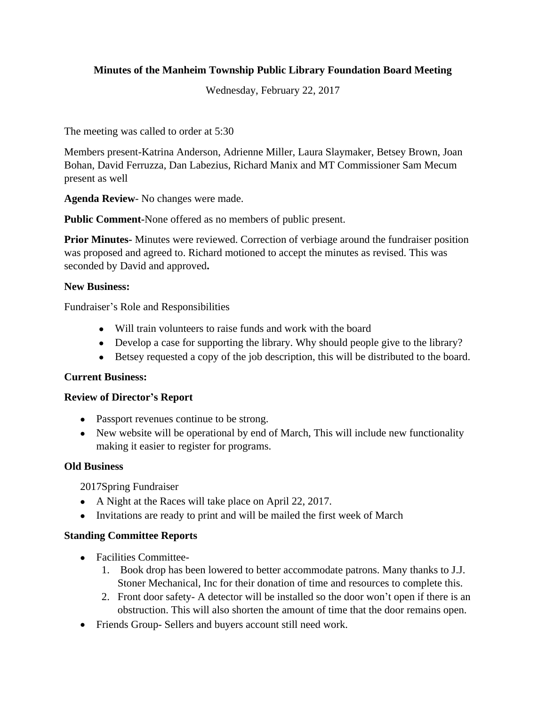## **Minutes of the Manheim Township Public Library Foundation Board Meeting**

Wednesday, February 22, 2017

The meeting was called to order at 5:30

Members present-Katrina Anderson, Adrienne Miller, Laura Slaymaker, Betsey Brown, Joan Bohan, David Ferruzza, Dan Labezius, Richard Manix and MT Commissioner Sam Mecum present as well

**Agenda Review**- No changes were made.

**Public Comment-**None offered as no members of public present.

**Prior Minutes-** Minutes were reviewed. Correction of verbiage around the fundraiser position was proposed and agreed to. Richard motioned to accept the minutes as revised. This was seconded by David and approved**.**

### **New Business:**

Fundraiser's Role and Responsibilities

- Will train volunteers to raise funds and work with the board
- Develop a case for supporting the library. Why should people give to the library?
- Betsey requested a copy of the job description, this will be distributed to the board.

#### **Current Business:**

#### **Review of Director's Report**

- Passport revenues continue to be strong.
- New website will be operational by end of March, This will include new functionality making it easier to register for programs.

#### **Old Business**

2017Spring Fundraiser

- A Night at the Races will take place on April 22, 2017.
- Invitations are ready to print and will be mailed the first week of March

### **Standing Committee Reports**

- Facilities Committee-
	- 1. Book drop has been lowered to better accommodate patrons. Many thanks to J.J. Stoner Mechanical, Inc for their donation of time and resources to complete this.
	- 2. Front door safety- A detector will be installed so the door won't open if there is an obstruction. This will also shorten the amount of time that the door remains open.
- Friends Group- Sellers and buyers account still need work.